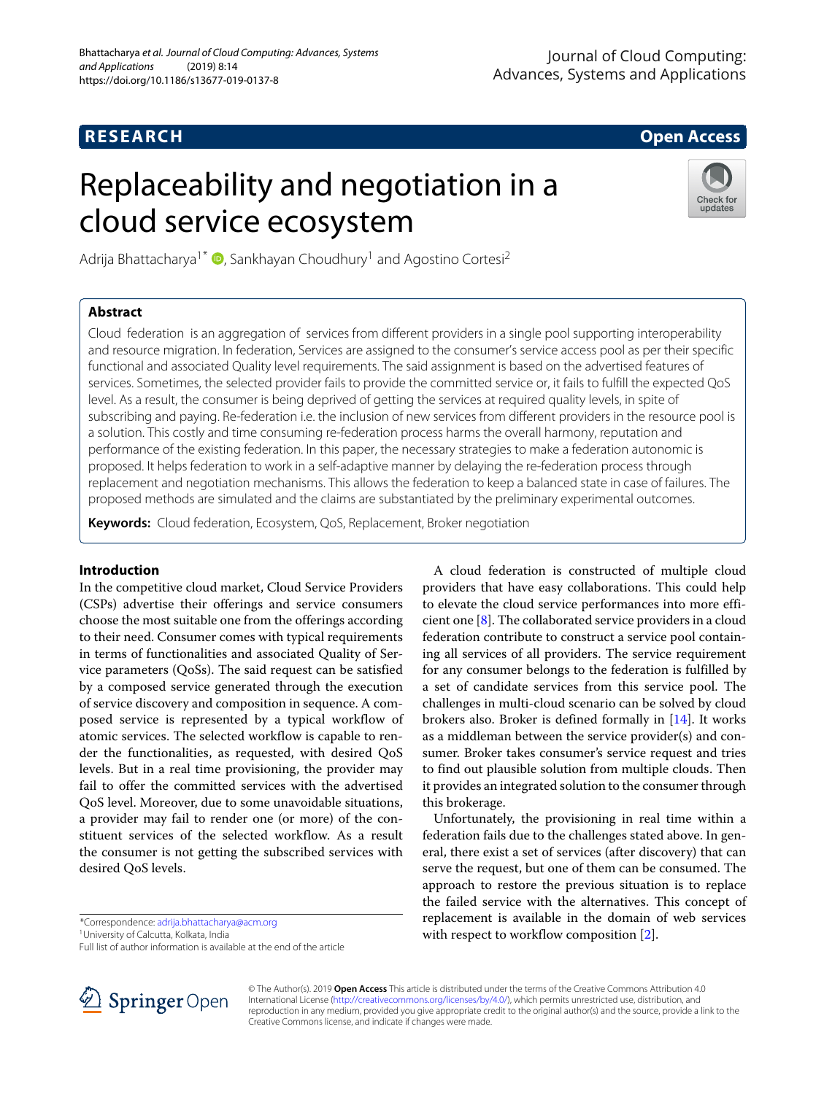### **RESEARCH Open Access**

# Replaceability and negotiation in a cloud service ecosystem



Adrija Bhattacharya<sup>1\*</sup> <sup>®</sup>[,](http://orcid.org/0000-0002-8536-7754) Sankhayan Choudhury<sup>1</sup> and Agostino Cortesi<sup>2</sup>

### **Abstract**

Cloud federation is an aggregation of services from different providers in a single pool supporting interoperability and resource migration. In federation, Services are assigned to the consumer's service access pool as per their specific functional and associated Quality level requirements. The said assignment is based on the advertised features of services. Sometimes, the selected provider fails to provide the committed service or, it fails to fulfill the expected QoS level. As a result, the consumer is being deprived of getting the services at required quality levels, in spite of subscribing and paying. Re-federation i.e. the inclusion of new services from different providers in the resource pool is a solution. This costly and time consuming re-federation process harms the overall harmony, reputation and performance of the existing federation. In this paper, the necessary strategies to make a federation autonomic is proposed. It helps federation to work in a self-adaptive manner by delaying the re-federation process through replacement and negotiation mechanisms. This allows the federation to keep a balanced state in case of failures. The proposed methods are simulated and the claims are substantiated by the preliminary experimental outcomes.

**Keywords:** Cloud federation, Ecosystem, QoS, Replacement, Broker negotiation

### <span id="page-0-0"></span>**Introduction**

In the competitive cloud market, Cloud Service Providers (CSPs) advertise their offerings and service consumers choose the most suitable one from the offerings according to their need. Consumer comes with typical requirements in terms of functionalities and associated Quality of Service parameters (QoSs). The said request can be satisfied by a composed service generated through the execution of service discovery and composition in sequence. A composed service is represented by a typical workflow of atomic services. The selected workflow is capable to render the functionalities, as requested, with desired QoS levels. But in a real time provisioning, the provider may fail to offer the committed services with the advertised QoS level. Moreover, due to some unavoidable situations, a provider may fail to render one (or more) of the constituent services of the selected workflow. As a result the consumer is not getting the subscribed services with desired QoS levels.

\*Correspondence: [adrija.bhattacharya@acm.org](mailto: adrija.bhattacharya@acm.org)

<sup>1</sup>University of Calcutta, Kolkata, India

A cloud federation is constructed of multiple cloud providers that have easy collaborations. This could help to elevate the cloud service performances into more efficient one [\[8\]](#page-13-0). The collaborated service providers in a cloud federation contribute to construct a service pool containing all services of all providers. The service requirement for any consumer belongs to the federation is fulfilled by a set of candidate services from this service pool. The challenges in multi-cloud scenario can be solved by cloud brokers also. Broker is defined formally in [\[14\]](#page-13-1). It works as a middleman between the service provider(s) and consumer. Broker takes consumer's service request and tries to find out plausible solution from multiple clouds. Then it provides an integrated solution to the consumer through this brokerage.

Unfortunately, the provisioning in real time within a federation fails due to the challenges stated above. In general, there exist a set of services (after discovery) that can serve the request, but one of them can be consumed. The approach to restore the previous situation is to replace the failed service with the alternatives. This concept of replacement is available in the domain of web services with respect to workflow composition [\[2\]](#page-12-0).



© The Author(s). 2019 **Open Access** This article is distributed under the terms of the Creative Commons Attribution 4.0 International License [\(http://creativecommons.org/licenses/by/4.0/\)](http://creativecommons.org/licenses/by/4.0/), which permits unrestricted use, distribution, and reproduction in any medium, provided you give appropriate credit to the original author(s) and the source, provide a link to the Creative Commons license, and indicate if changes were made.

Full list of author information is available at the end of the article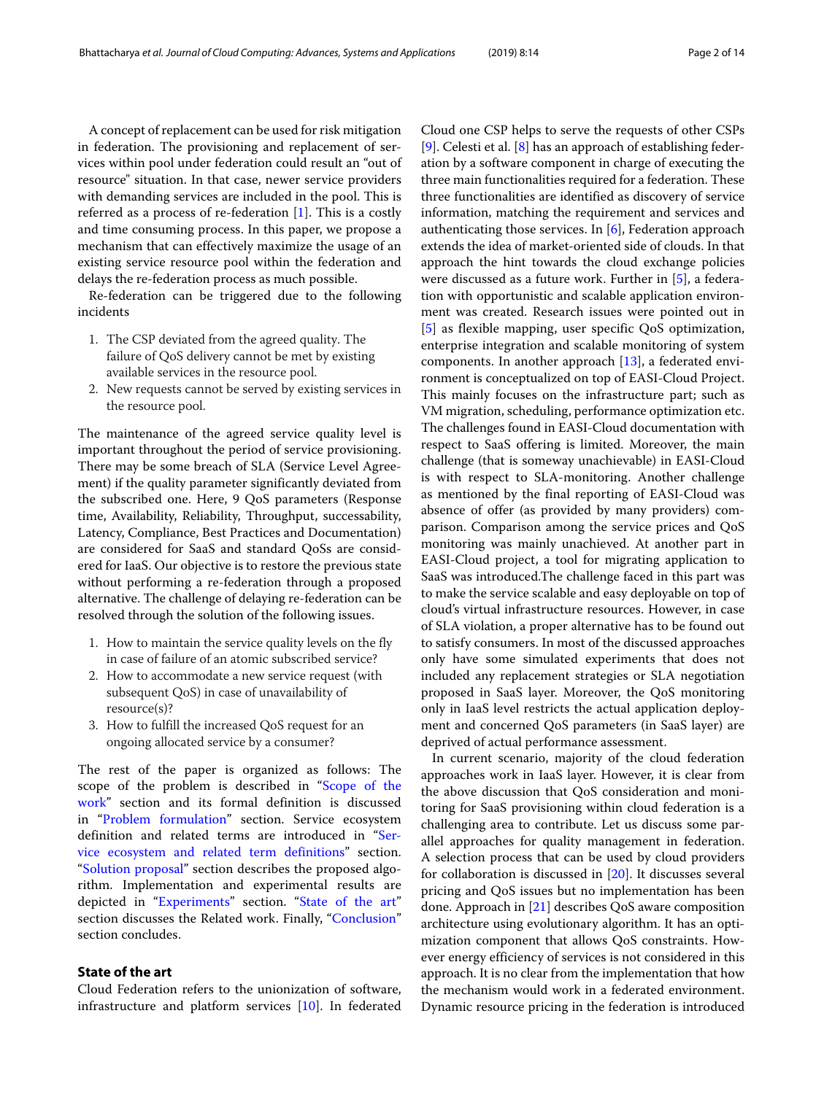A concept of replacement can be used for risk mitigation in federation. The provisioning and replacement of services within pool under federation could result an "out of resource" situation. In that case, newer service providers with demanding services are included in the pool. This is referred as a process of re-federation [\[1\]](#page-12-1). This is a costly and time consuming process. In this paper, we propose a mechanism that can effectively maximize the usage of an existing service resource pool within the federation and delays the re-federation process as much possible.

Re-federation can be triggered due to the following incidents

- 1. The CSP deviated from the agreed quality. The failure of QoS delivery cannot be met by existing available services in the resource pool.
- 2. New requests cannot be served by existing services in the resource pool.

The maintenance of the agreed service quality level is important throughout the period of service provisioning. There may be some breach of SLA (Service Level Agreement) if the quality parameter significantly deviated from the subscribed one. Here, 9 QoS parameters (Response time, Availability, Reliability, Throughput, successability, Latency, Compliance, Best Practices and Documentation) are considered for SaaS and standard QoSs are considered for IaaS. Our objective is to restore the previous state without performing a re-federation through a proposed alternative. The challenge of delaying re-federation can be resolved through the solution of the following issues.

- 1. How to maintain the service quality levels on the fly in case of failure of an atomic subscribed service?
- 2. How to accommodate a new service request (with subsequent QoS) in case of unavailability of resource(s)?
- 3. How to fulfill the increased QoS request for an ongoing allocated service by a consumer?

The rest of the paper is organized as follows: The scope of the problem is described in ["Scope of the](#page-2-0) [work"](#page-2-0) section and its formal definition is discussed in ["Problem formulation"](#page-3-0) section. Service ecosystem definition and related terms are introduced in ["Ser](#page-3-1)[vice ecosystem and related term definitions"](#page-3-1) section. ["Solution proposal"](#page-4-0) section describes the proposed algorithm. Implementation and experimental results are depicted in ["Experiments"](#page-6-0) section. ["State of the art"](#page-1-0) section discusses the Related work. Finally, ["Conclusion"](#page-9-0) section concludes.

### <span id="page-1-0"></span>**State of the art**

Cloud Federation refers to the unionization of software, infrastructure and platform services [\[10\]](#page-13-2). In federated Cloud one CSP helps to serve the requests of other CSPs [\[9\]](#page-13-3). Celesti et al. [\[8\]](#page-13-0) has an approach of establishing federation by a software component in charge of executing the three main functionalities required for a federation. These three functionalities are identified as discovery of service information, matching the requirement and services and authenticating those services. In [\[6\]](#page-12-2), Federation approach extends the idea of market-oriented side of clouds. In that approach the hint towards the cloud exchange policies were discussed as a future work. Further in [\[5\]](#page-12-3), a federation with opportunistic and scalable application environment was created. Research issues were pointed out in [\[5\]](#page-12-3) as flexible mapping, user specific QoS optimization, enterprise integration and scalable monitoring of system components. In another approach [\[13\]](#page-13-4), a federated environment is conceptualized on top of EASI-Cloud Project. This mainly focuses on the infrastructure part; such as VM migration, scheduling, performance optimization etc. The challenges found in EASI-Cloud documentation with respect to SaaS offering is limited. Moreover, the main challenge (that is someway unachievable) in EASI-Cloud is with respect to SLA-monitoring. Another challenge as mentioned by the final reporting of EASI-Cloud was absence of offer (as provided by many providers) comparison. Comparison among the service prices and QoS monitoring was mainly unachieved. At another part in EASI-Cloud project, a tool for migrating application to SaaS was introduced.The challenge faced in this part was to make the service scalable and easy deployable on top of cloud's virtual infrastructure resources. However, in case of SLA violation, a proper alternative has to be found out to satisfy consumers. In most of the discussed approaches only have some simulated experiments that does not included any replacement strategies or SLA negotiation proposed in SaaS layer. Moreover, the QoS monitoring only in IaaS level restricts the actual application deployment and concerned QoS parameters (in SaaS layer) are deprived of actual performance assessment.

In current scenario, majority of the cloud federation approaches work in IaaS layer. However, it is clear from the above discussion that QoS consideration and monitoring for SaaS provisioning within cloud federation is a challenging area to contribute. Let us discuss some parallel approaches for quality management in federation. A selection process that can be used by cloud providers for collaboration is discussed in [\[20\]](#page-13-5). It discusses several pricing and QoS issues but no implementation has been done. Approach in [\[21\]](#page-13-6) describes QoS aware composition architecture using evolutionary algorithm. It has an optimization component that allows QoS constraints. However energy efficiency of services is not considered in this approach. It is no clear from the implementation that how the mechanism would work in a federated environment. Dynamic resource pricing in the federation is introduced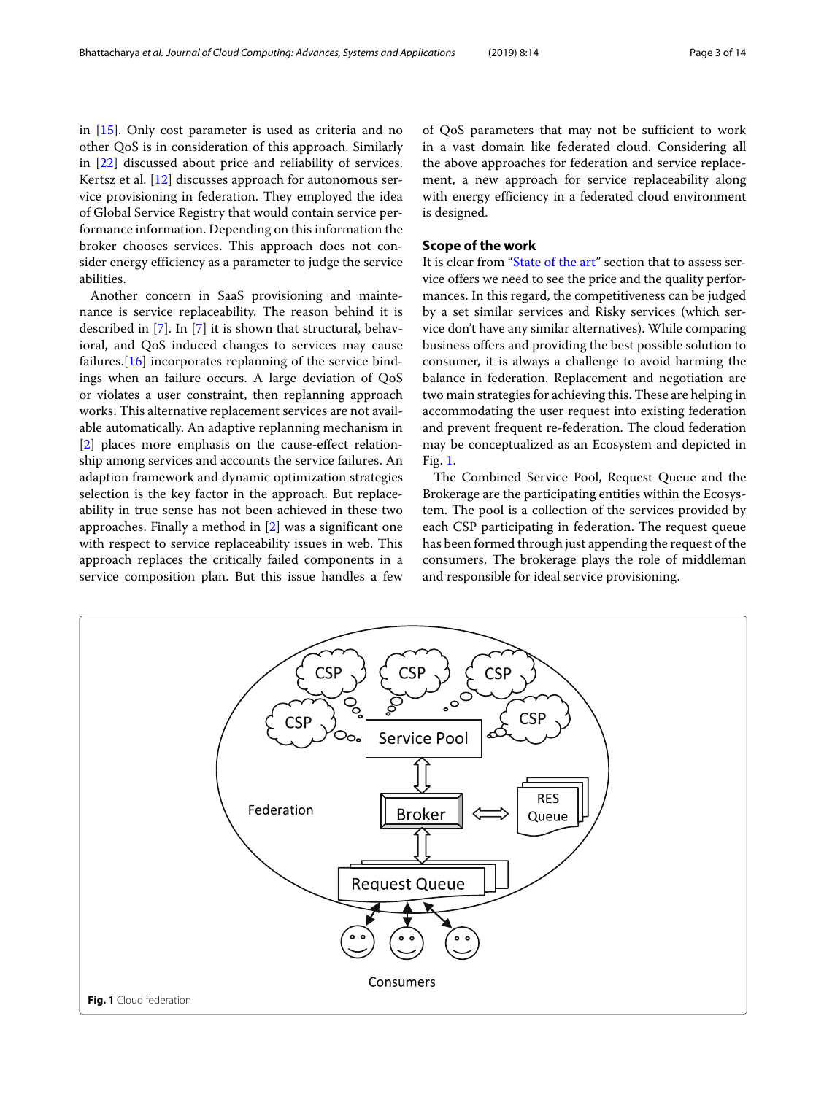in [\[15\]](#page-13-7). Only cost parameter is used as criteria and no other QoS is in consideration of this approach. Similarly in [\[22\]](#page-13-8) discussed about price and reliability of services. Kertsz et al. [\[12\]](#page-13-9) discusses approach for autonomous service provisioning in federation. They employed the idea of Global Service Registry that would contain service performance information. Depending on this information the broker chooses services. This approach does not consider energy efficiency as a parameter to judge the service abilities.

Another concern in SaaS provisioning and maintenance is service replaceability. The reason behind it is described in [\[7\]](#page-13-10). In [\[7\]](#page-13-10) it is shown that structural, behavioral, and QoS induced changes to services may cause failures.[\[16\]](#page-13-11) incorporates replanning of the service bindings when an failure occurs. A large deviation of QoS or violates a user constraint, then replanning approach works. This alternative replacement services are not available automatically. An adaptive replanning mechanism in [\[2\]](#page-12-0) places more emphasis on the cause-effect relationship among services and accounts the service failures. An adaption framework and dynamic optimization strategies selection is the key factor in the approach. But replaceability in true sense has not been achieved in these two approaches. Finally a method in  $[2]$  was a significant one with respect to service replaceability issues in web. This approach replaces the critically failed components in a service composition plan. But this issue handles a few

of QoS parameters that may not be sufficient to work in a vast domain like federated cloud. Considering all the above approaches for federation and service replacement, a new approach for service replaceability along with energy efficiency in a federated cloud environment is designed.

### **Scope of the work**

<span id="page-2-0"></span>It is clear from ["State of the art"](#page-1-0) section that to assess service offers we need to see the price and the quality performances. In this regard, the competitiveness can be judged by a set similar services and Risky services (which service don't have any similar alternatives). While comparing business offers and providing the best possible solution to consumer, it is always a challenge to avoid harming the balance in federation. Replacement and negotiation are two main strategies for achieving this. These are helping in accommodating the user request into existing federation and prevent frequent re-federation. The cloud federation may be conceptualized as an Ecosystem and depicted in Fig. [1.](#page-2-1)

The Combined Service Pool, Request Queue and the Brokerage are the participating entities within the Ecosystem. The pool is a collection of the services provided by each CSP participating in federation. The request queue has been formed through just appending the request of the consumers. The brokerage plays the role of middleman and responsible for ideal service provisioning.

<span id="page-2-1"></span>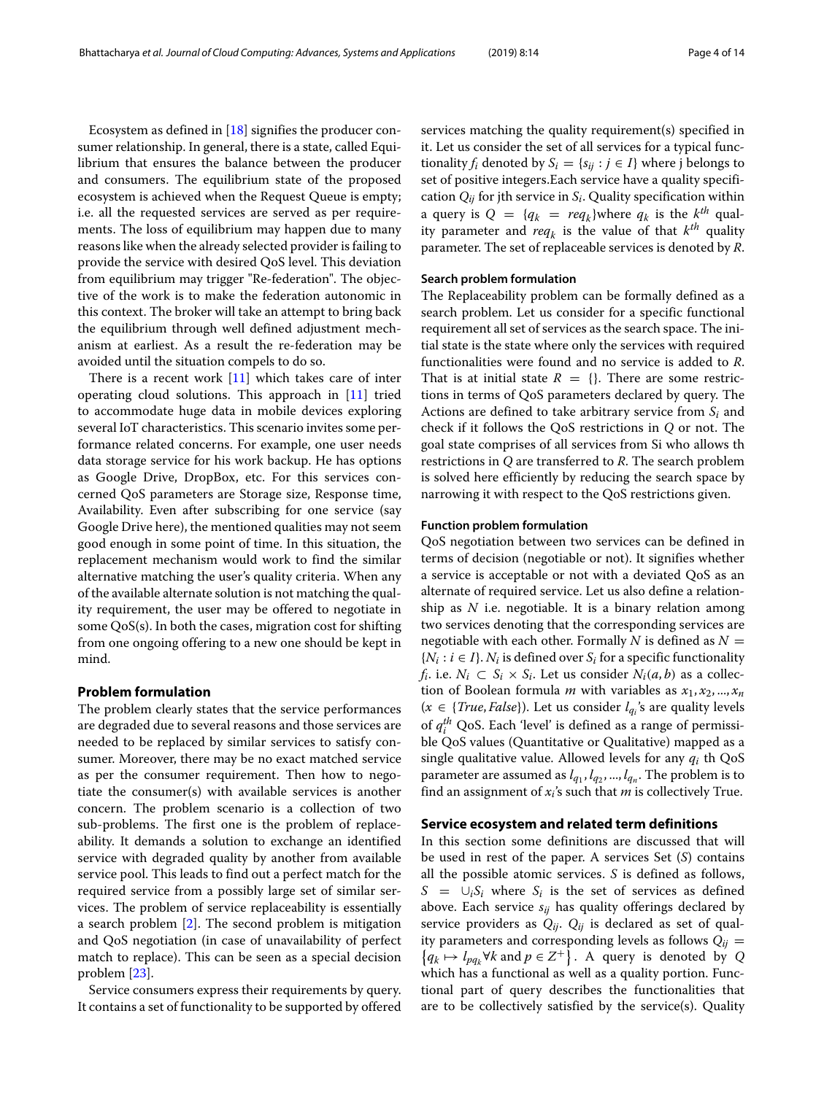Ecosystem as defined in  $[18]$  signifies the producer consumer relationship. In general, there is a state, called Equilibrium that ensures the balance between the producer and consumers. The equilibrium state of the proposed ecosystem is achieved when the Request Queue is empty; i.e. all the requested services are served as per requirements. The loss of equilibrium may happen due to many reasons like when the already selected provider is failing to provide the service with desired QoS level. This deviation from equilibrium may trigger "Re-federation". The objective of the work is to make the federation autonomic in this context. The broker will take an attempt to bring back the equilibrium through well defined adjustment mechanism at earliest. As a result the re-federation may be avoided until the situation compels to do so.

There is a recent work  $[11]$  which takes care of inter operating cloud solutions. This approach in [\[11\]](#page-13-13) tried to accommodate huge data in mobile devices exploring several IoT characteristics. This scenario invites some performance related concerns. For example, one user needs data storage service for his work backup. He has options as Google Drive, DropBox, etc. For this services concerned QoS parameters are Storage size, Response time, Availability. Even after subscribing for one service (say Google Drive here), the mentioned qualities may not seem good enough in some point of time. In this situation, the replacement mechanism would work to find the similar alternative matching the user's quality criteria. When any of the available alternate solution is not matching the quality requirement, the user may be offered to negotiate in some QoS(s). In both the cases, migration cost for shifting from one ongoing offering to a new one should be kept in mind.

### <span id="page-3-0"></span>**Problem formulation**

The problem clearly states that the service performances are degraded due to several reasons and those services are needed to be replaced by similar services to satisfy consumer. Moreover, there may be no exact matched service as per the consumer requirement. Then how to negotiate the consumer(s) with available services is another concern. The problem scenario is a collection of two sub-problems. The first one is the problem of replaceability. It demands a solution to exchange an identified service with degraded quality by another from available service pool. This leads to find out a perfect match for the required service from a possibly large set of similar services. The problem of service replaceability is essentially a search problem [\[2\]](#page-12-0). The second problem is mitigation and QoS negotiation (in case of unavailability of perfect match to replace). This can be seen as a special decision problem [\[23\]](#page-13-14).

Service consumers express their requirements by query. It contains a set of functionality to be supported by offered services matching the quality requirement(s) specified in it. Let us consider the set of all services for a typical functionality  $f_i$  denoted by  $S_i = \{s_{ij} : j \in I\}$  where j belongs to set of positive integers.Each service have a quality specification  $Q_{ij}$  for jth service in  $S_i$ . Quality specification within a query is  $Q = \{q_k = \text{req}_k\}$ where  $q_k$  is the  $k^{th}$  quality parameter and  $req_{k}$  is the value of that  $k^{th}$  quality parameter. The set of replaceable services is denoted by R.

### **Search problem formulation**

The Replaceability problem can be formally defined as a search problem. Let us consider for a specific functional requirement all set of services as the search space. The initial state is the state where only the services with required functionalities were found and no service is added to R. That is at initial state  $R = \{\}$ . There are some restrictions in terms of QoS parameters declared by query. The Actions are defined to take arbitrary service from  $S_i$  and check if it follows the QoS restrictions in Q or not. The goal state comprises of all services from Si who allows th restrictions in Q are transferred to R. The search problem is solved here efficiently by reducing the search space by narrowing it with respect to the QoS restrictions given.

### **Function problem formulation**

QoS negotiation between two services can be defined in terms of decision (negotiable or not). It signifies whether a service is acceptable or not with a deviated QoS as an alternate of required service. Let us also define a relationship as  $N$  i.e. negotiable. It is a binary relation among two services denoting that the corresponding services are negotiable with each other. Formally N is defined as  $N =$  $\{N_i : i \in I\}$ .  $N_i$  is defined over  $S_i$  for a specific functionality  $f_i$ . i.e.  $N_i \subset S_i \times S_i$ . Let us consider  $N_i(a, b)$  as a collection of Boolean formula *m* with variables as  $x_1, x_2, ..., x_n$  $(x \in \{True, False\})$ . Let us consider  $l_{q_i}$ 's are quality levels of  $q_i^{th}$  QoS. Each 'level' is defined as a range of permissible QoS values (Quantitative or Qualitative) mapped as a single qualitative value. Allowed levels for any  $q_i$  th QoS parameter are assumed as  $l_{q_1}, l_{q_2}, ..., l_{q_n}.$  The problem is to find an assignment of  $x_i$ 's such that  $m$  is collectively True.

### **Service ecosystem and related term definitions**

<span id="page-3-1"></span>In this section some definitions are discussed that will be used in rest of the paper. A services Set (S) contains all the possible atomic services. S is defined as follows,  $S = \bigcup_i S_i$  where  $S_i$  is the set of services as defined above. Each service  $s_{ij}$  has quality offerings declared by service providers as  $Q_{ij}$ .  $Q_{ij}$  is declared as set of quality parameters and corresponding levels as follows  $Q_{ij}$  =  $\{q_k \mapsto l_{pq_k} \forall k \text{ and } p \in \mathbb{Z}^+\}$ . A query is denoted by Q which has a functional as well as a quality portion. Functional part of query describes the functionalities that are to be collectively satisfied by the service(s). Quality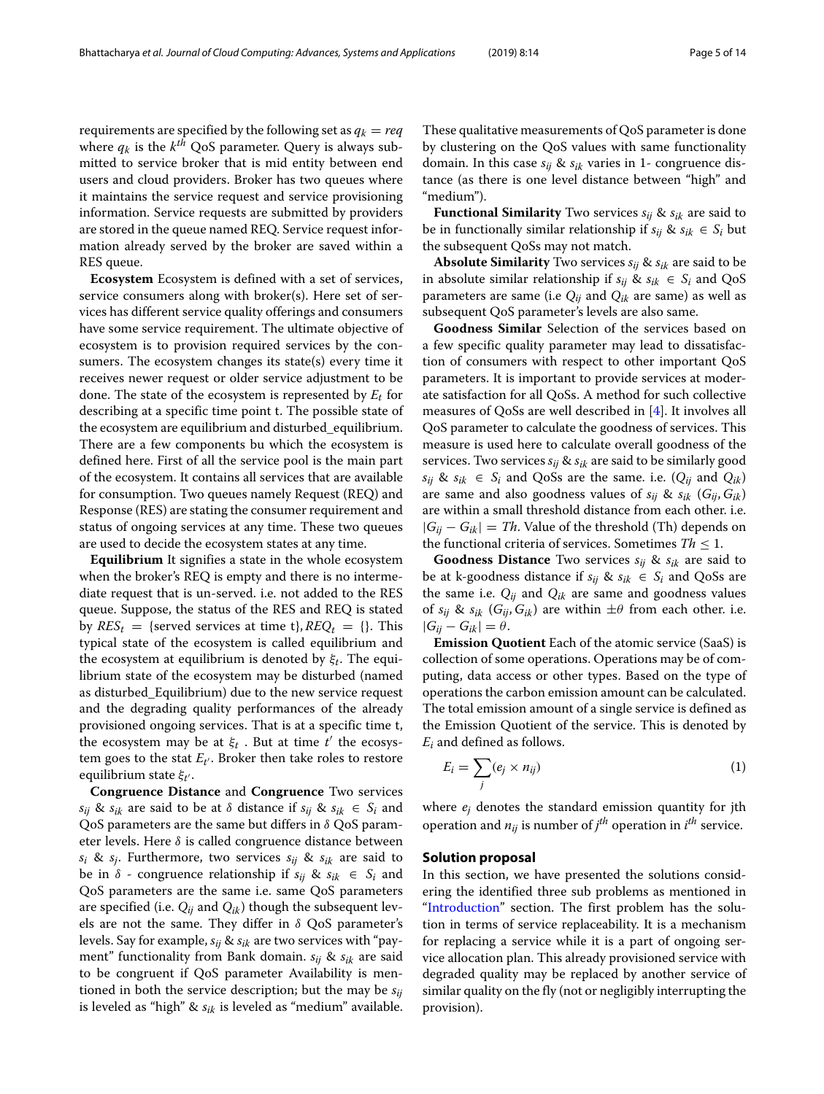requirements are specified by the following set as  $q_k = req$ where  $q_k$  is the  $k^{th}$  QoS parameter. Query is always submitted to service broker that is mid entity between end users and cloud providers. Broker has two queues where it maintains the service request and service provisioning information. Service requests are submitted by providers are stored in the queue named REQ. Service request information already served by the broker are saved within a RES queue.

**Ecosystem** Ecosystem is defined with a set of services, service consumers along with broker(s). Here set of services has different service quality offerings and consumers have some service requirement. The ultimate objective of ecosystem is to provision required services by the consumers. The ecosystem changes its state(s) every time it receives newer request or older service adjustment to be done. The state of the ecosystem is represented by  $E_t$  for describing at a specific time point t. The possible state of the ecosystem are equilibrium and disturbed\_equilibrium. There are a few components bu which the ecosystem is defined here. First of all the service pool is the main part of the ecosystem. It contains all services that are available for consumption. Two queues namely Request (REQ) and Response (RES) are stating the consumer requirement and status of ongoing services at any time. These two queues are used to decide the ecosystem states at any time.

**Equilibrium** It signifies a state in the whole ecosystem when the broker's REQ is empty and there is no intermediate request that is un-served. i.e. not added to the RES queue. Suppose, the status of the RES and REQ is stated by  $RES_t = {served services at time t}, REQ_t = {}.$  This typical state of the ecosystem is called equilibrium and the ecosystem at equilibrium is denoted by  $\xi_t$ . The equilibrium state of the ecosystem may be disturbed (named as disturbed\_Equilibrium) due to the new service request and the degrading quality performances of the already provisioned ongoing services. That is at a specific time t, the ecosystem may be at  $\xi_t$ . But at time  $t'$  the ecosystem goes to the stat  $E_{t'}$ . Broker then take roles to restore equilibrium state  $\xi_{t^{\prime}}$ .

**Congruence Distance** and **Congruence** Two services  $s_{ii}$  &  $s_{ik}$  are said to be at  $\delta$  distance if  $s_{ii}$  &  $s_{ik} \in S_i$  and QoS parameters are the same but differs in δ QoS parameter levels. Here  $\delta$  is called congruence distance between  $s_i$  &  $s_j$ . Furthermore, two services  $s_{ij}$  &  $s_{ik}$  are said to be in  $\delta$  - congruence relationship if  $s_{ij} \& s_{ik} \in S_i$  and QoS parameters are the same i.e. same QoS parameters are specified (i.e.  $Q_{ii}$  and  $Q_{ik}$ ) though the subsequent levels are not the same. They differ in  $\delta$  QoS parameter's levels. Say for example,  $s_{ij}$  &  $s_{ik}$  are two services with "payment" functionality from Bank domain.  $s_{ij}$  &  $s_{ik}$  are said to be congruent if QoS parameter Availability is mentioned in both the service description; but the may be  $s_{ii}$ is leveled as "high" &  $s_{ik}$  is leveled as "medium" available. These qualitative measurements of QoS parameter is done by clustering on the QoS values with same functionality domain. In this case  $s_{ij}$  &  $s_{ik}$  varies in 1- congruence distance (as there is one level distance between "high" and "medium").

**Functional Similarity** Two services  $s_{ij}$  &  $s_{ik}$  are said to be in functionally similar relationship if  $s_{ii} \& s_{ik} \in S_i$  but the subsequent QoSs may not match.

**Absolute Similarity** Two services  $s_{ij}$  &  $s_{ik}$  are said to be in absolute similar relationship if  $s_{ij} \& s_{ik} \in S_i$  and QoS parameters are same (i.e  $Q_{ij}$  and  $Q_{ik}$  are same) as well as subsequent QoS parameter's levels are also same.

**Goodness Similar** Selection of the services based on a few specific quality parameter may lead to dissatisfaction of consumers with respect to other important QoS parameters. It is important to provide services at moderate satisfaction for all QoSs. A method for such collective measures of QoSs are well described in [\[4\]](#page-12-4). It involves all QoS parameter to calculate the goodness of services. This measure is used here to calculate overall goodness of the services. Two services  $s_{ij}$  &  $s_{ik}$  are said to be similarly good  $s_{ij} \& s_{ik} \in S_i$  and QoSs are the same. i.e.  $(Q_{ij} \text{ and } Q_{ik})$ are same and also goodness values of  $s_{ij}$  &  $s_{ik}$  ( $G_{ij}, G_{ik}$ ) are within a small threshold distance from each other. i.e.  $|G_{ii} - G_{ik}| = Th$ . Value of the threshold (Th) depends on the functional criteria of services. Sometimes  $Th \leq 1$ .

**Goodness Distance** Two services  $s_{ii}$  &  $s_{ik}$  are said to be at k-goodness distance if  $s_{ij} \& s_{ik} \in S_i$  and QoSs are the same i.e.  $Q_{ij}$  and  $Q_{ik}$  are same and goodness values of  $s_{ij}$  &  $s_{ik}$  ( $G_{ij}$ ,  $G_{ik}$ ) are within  $\pm\theta$  from each other. i.e.  $|G_{ij} - G_{ik}| = \theta.$ 

**Emission Quotient** Each of the atomic service (SaaS) is collection of some operations. Operations may be of computing, data access or other types. Based on the type of operations the carbon emission amount can be calculated. The total emission amount of a single service is defined as the Emission Quotient of the service. This is denoted by  $E_i$  and defined as follows.

$$
E_i = \sum_j (e_j \times n_{ij})
$$
 (1)

where  $e_i$  denotes the standard emission quantity for jth operation and  $n_{ij}$  is number of  $j^{th}$  operation in  $i^{th}$  service.

### <span id="page-4-0"></span>**Solution proposal**

In this section, we have presented the solutions considering the identified three sub problems as mentioned in ["Introduction"](#page-0-0) section. The first problem has the solution in terms of service replaceability. It is a mechanism for replacing a service while it is a part of ongoing service allocation plan. This already provisioned service with degraded quality may be replaced by another service of similar quality on the fly (not or negligibly interrupting the provision).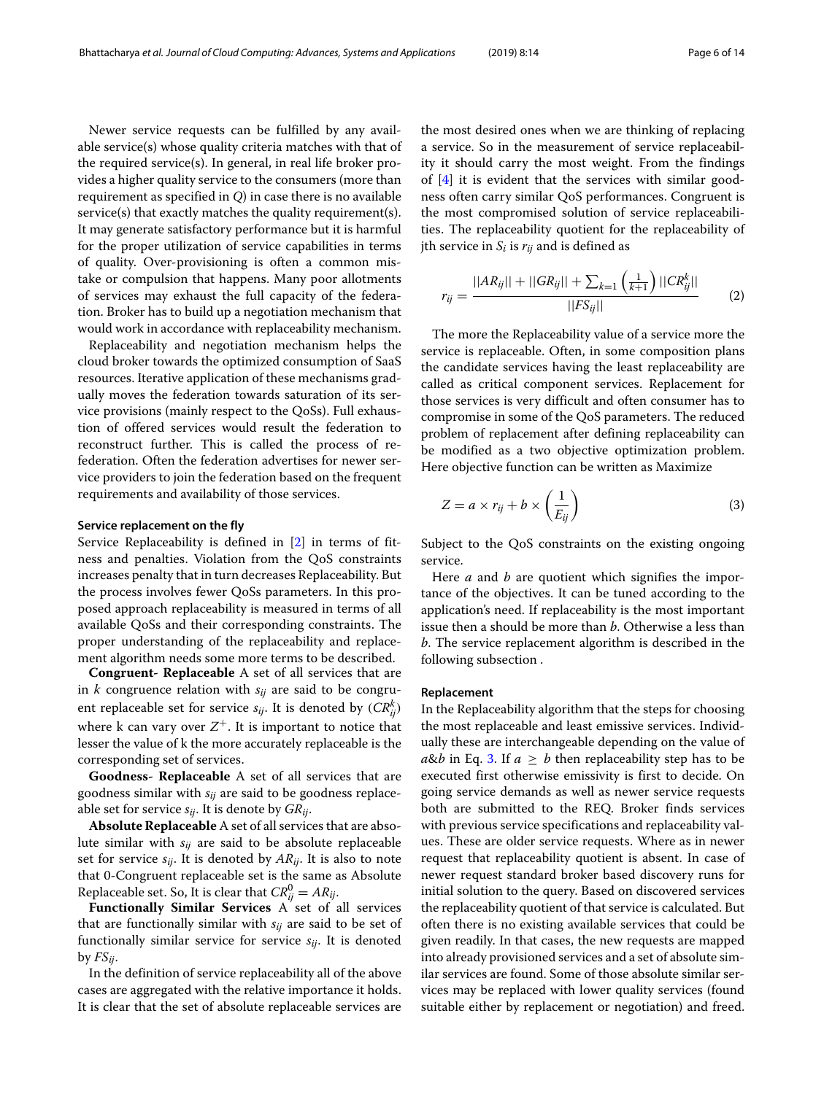Newer service requests can be fulfilled by any available service(s) whose quality criteria matches with that of the required service(s). In general, in real life broker provides a higher quality service to the consumers (more than requirement as specified in  $Q$ ) in case there is no available service(s) that exactly matches the quality requirement(s). It may generate satisfactory performance but it is harmful for the proper utilization of service capabilities in terms of quality. Over-provisioning is often a common mistake or compulsion that happens. Many poor allotments of services may exhaust the full capacity of the federation. Broker has to build up a negotiation mechanism that would work in accordance with replaceability mechanism.

Replaceability and negotiation mechanism helps the cloud broker towards the optimized consumption of SaaS resources. Iterative application of these mechanisms gradually moves the federation towards saturation of its service provisions (mainly respect to the QoSs). Full exhaustion of offered services would result the federation to reconstruct further. This is called the process of refederation. Often the federation advertises for newer service providers to join the federation based on the frequent requirements and availability of those services.

### **Service replacement on the fly**

Service Replaceability is defined in [\[2\]](#page-12-0) in terms of fitness and penalties. Violation from the QoS constraints increases penalty that in turn decreases Replaceability. But the process involves fewer QoSs parameters. In this proposed approach replaceability is measured in terms of all available QoSs and their corresponding constraints. The proper understanding of the replaceability and replacement algorithm needs some more terms to be described.

**Congruent- Replaceable** A set of all services that are in  $k$  congruence relation with  $s_{ij}$  are said to be congruent replaceable set for service  $s_{ij}$ . It is denoted by  $(CR_{ij}^k)$ where k can vary over  $Z^+$ . It is important to notice that lesser the value of k the more accurately replaceable is the corresponding set of services.

**Goodness- Replaceable** A set of all services that are goodness similar with  $s_{ij}$  are said to be goodness replaceable set for service  $s_{ij}$ . It is denote by  $GR_{ij}$ .

**Absolute Replaceable** A set of all services that are absolute similar with  $s_{ij}$  are said to be absolute replaceable set for service  $s_{ij}$ . It is denoted by  $AR_{ij}$ . It is also to note that 0-Congruent replaceable set is the same as Absolute Replaceable set. So, It is clear that  $CR_{ij}^0 = AR_{ij}$ .

Functionally Similar Services A<sup>'</sup> set of all services that are functionally similar with  $s_{ij}$  are said to be set of functionally similar service for service  $s_{ij}$ . It is denoted by  $FS_{ii}$ .

In the definition of service replaceability all of the above cases are aggregated with the relative importance it holds. It is clear that the set of absolute replaceable services are

the most desired ones when we are thinking of replacing a service. So in the measurement of service replaceability it should carry the most weight. From the findings of [\[4\]](#page-12-4) it is evident that the services with similar goodness often carry similar QoS performances. Congruent is the most compromised solution of service replaceabilities. The replaceability quotient for the replaceability of jth service in  $S_i$  is  $r_{ij}$  and is defined as

$$
r_{ij} = \frac{||AR_{ij}|| + ||GR_{ij}|| + \sum_{k=1} \left(\frac{1}{k+1}\right) ||CR_{ij}^{k}||}{||FS_{ij}||}
$$
 (2)

The more the Replaceability value of a service more the service is replaceable. Often, in some composition plans the candidate services having the least replaceability are called as critical component services. Replacement for those services is very difficult and often consumer has to compromise in some of the QoS parameters. The reduced problem of replacement after defining replaceability can be modified as a two objective optimization problem. Here objective function can be written as Maximize

<span id="page-5-0"></span>
$$
Z = a \times r_{ij} + b \times \left(\frac{1}{E_{ij}}\right) \tag{3}
$$

Subject to the QoS constraints on the existing ongoing service.

Here  $a$  and  $b$  are quotient which signifies the importance of the objectives. It can be tuned according to the application's need. If replaceability is the most important issue then a should be more than b. Otherwise a less than b. The service replacement algorithm is described in the following subsection .

### **Replacement**

In the Replaceability algorithm that the steps for choosing the most replaceable and least emissive services. Individually these are interchangeable depending on the value of a&b in Eq. [3.](#page-5-0) If  $a \ge b$  then replaceability step has to be executed first otherwise emissivity is first to decide. On going service demands as well as newer service requests both are submitted to the REQ. Broker finds services with previous service specifications and replaceability values. These are older service requests. Where as in newer request that replaceability quotient is absent. In case of newer request standard broker based discovery runs for initial solution to the query. Based on discovered services the replaceability quotient of that service is calculated. But often there is no existing available services that could be given readily. In that cases, the new requests are mapped into already provisioned services and a set of absolute similar services are found. Some of those absolute similar services may be replaced with lower quality services (found suitable either by replacement or negotiation) and freed.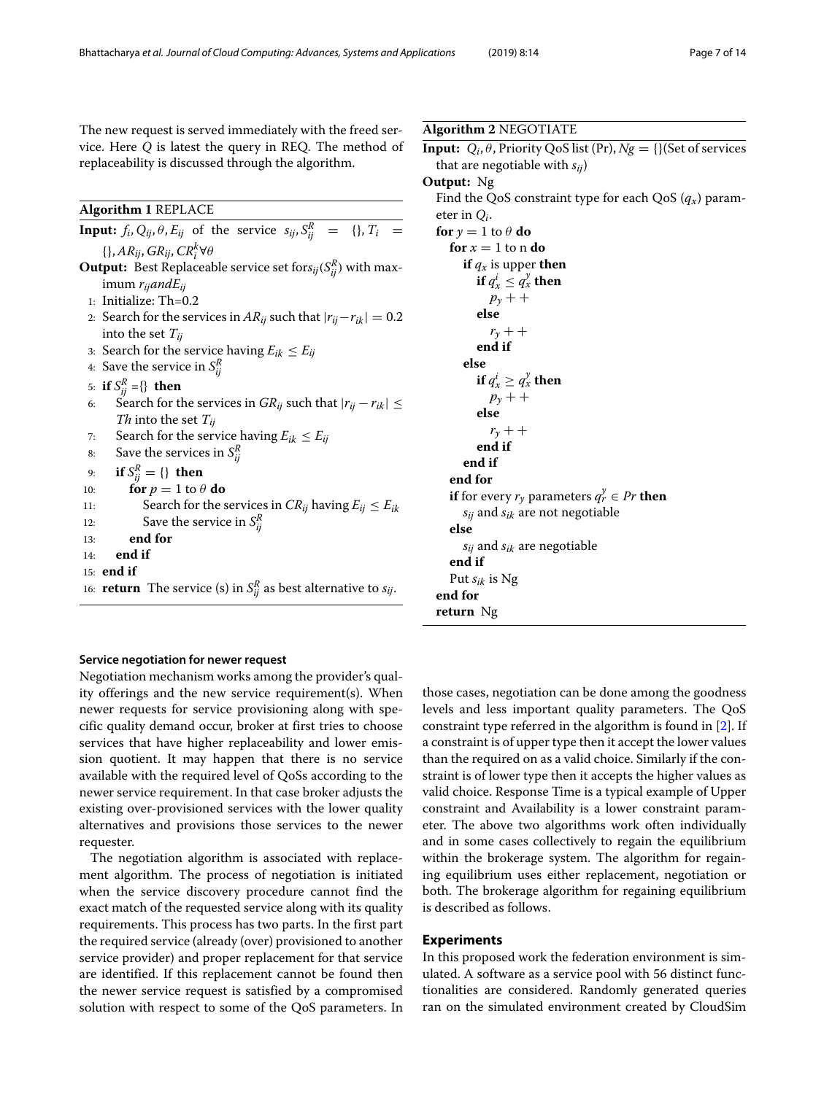The new request is served immediately with the freed service. Here Q is latest the query in REQ. The method of replaceability is discussed through the algorithm.

**Algorithm 1** REPLACE

**Input:**  $f_i$ ,  $Q_{ij}$ ,  $\theta$ ,  $E_{ij}$  of the service  $s_{ij}$ ,  $S_{ij}^R$  = {},  $T_i$  =  $\{ \},AR_{ij},GR_{ij},CR_i^k \forall \theta$ **Output:** Best Replaceable service set fors $_{ij}(S_{ij}^R)$  with maximum  $r_{ij}$ and $E_{ij}$ 1: Initialize: Th=0.2 2: Search for the services in  $AR_{ii}$  such that  $|r_{ii} - r_{ik}| = 0.2$ into the set  $T_{ii}$ 3: Search for the service having  $E_{ik} \le E_{ij}$ 4: Save the service in  $S_{ij}^R$ 5: **if**  $S_{ij}^R = \{\}$  **then** 6: Search for the services in  $GR_{ij}$  such that  $|r_{ij} - r_{ik}| \leq$ *Th* into the set  $T_{ij}$ 7: Search for the service having  $E_{ik} \le E_{ij}$ 8: Save the services in  $S_{ij}^R$ 9: **if**  $S_{ij}^R = \{\}$  **then** 10: **for**  $p = 1$  to  $\theta$  **do** 11: Search for the services in  $CR_{ij}$  having  $E_{ij} \le E_{ik}$ 12: Save the service in  $S_{ij}^R$ 13: **end for** 14: **end if** 15: **end if** 16: **return** The service (s) in  $S_{ij}^R$  as best alternative to  $s_{ij}$ .

### **Algorithm 2** NEGOTIATE

| <b>Input:</b> $Q_i$ , $\theta$ , Priority QoS list (Pr), $Ng = \{\}$ (Set of services |
|---------------------------------------------------------------------------------------|
| that are negotiable with $s_{ij}$ )                                                   |
| <b>Output:</b> Ng                                                                     |
| Find the QoS constraint type for each QoS $(q_x)$ param-                              |
| eter in $Q_i$ .                                                                       |
| for $y = 1$ to $\theta$ do                                                            |
| for $x = 1$ to n do                                                                   |
| <b>if</b> $q_x$ is upper <b>then</b>                                                  |
| if $q_x^i \leq q_x^y$ then                                                            |
| $p_{\nu}$ + +                                                                         |
| else                                                                                  |
| $r_{y}$ + +                                                                           |
| end if                                                                                |
| else                                                                                  |
| if $q_x^i \ge q_x^y$ then                                                             |
| $p_{y}$ + +                                                                           |
| else                                                                                  |
| $r_{\nu}$ + +                                                                         |
| end if                                                                                |
| end if                                                                                |
| end for                                                                               |
| <b>if</b> for every $r_y$ parameters $q_r^y \in Pr$ <b>then</b>                       |
| $s_{ii}$ and $s_{ik}$ are not negotiable                                              |
| else                                                                                  |
| $s_{ij}$ and $s_{ik}$ are negotiable                                                  |
| end if                                                                                |
| Put $s_{ik}$ is Ng                                                                    |
| end for                                                                               |
| return Ng                                                                             |
|                                                                                       |

### **Service negotiation for newer request**

Negotiation mechanism works among the provider's quality offerings and the new service requirement(s). When newer requests for service provisioning along with specific quality demand occur, broker at first tries to choose services that have higher replaceability and lower emission quotient. It may happen that there is no service available with the required level of QoSs according to the newer service requirement. In that case broker adjusts the existing over-provisioned services with the lower quality alternatives and provisions those services to the newer requester.

The negotiation algorithm is associated with replacement algorithm. The process of negotiation is initiated when the service discovery procedure cannot find the exact match of the requested service along with its quality requirements. This process has two parts. In the first part the required service (already (over) provisioned to another service provider) and proper replacement for that service are identified. If this replacement cannot be found then the newer service request is satisfied by a compromised solution with respect to some of the QoS parameters. In those cases, negotiation can be done among the goodness levels and less important quality parameters. The QoS constraint type referred in the algorithm is found in [\[2\]](#page-12-0). If a constraint is of upper type then it accept the lower values than the required on as a valid choice. Similarly if the constraint is of lower type then it accepts the higher values as valid choice. Response Time is a typical example of Upper constraint and Availability is a lower constraint parameter. The above two algorithms work often individually and in some cases collectively to regain the equilibrium within the brokerage system. The algorithm for regaining equilibrium uses either replacement, negotiation or both. The brokerage algorithm for regaining equilibrium is described as follows.

### <span id="page-6-0"></span>**Experiments**

In this proposed work the federation environment is simulated. A software as a service pool with 56 distinct functionalities are considered. Randomly generated queries ran on the simulated environment created by CloudSim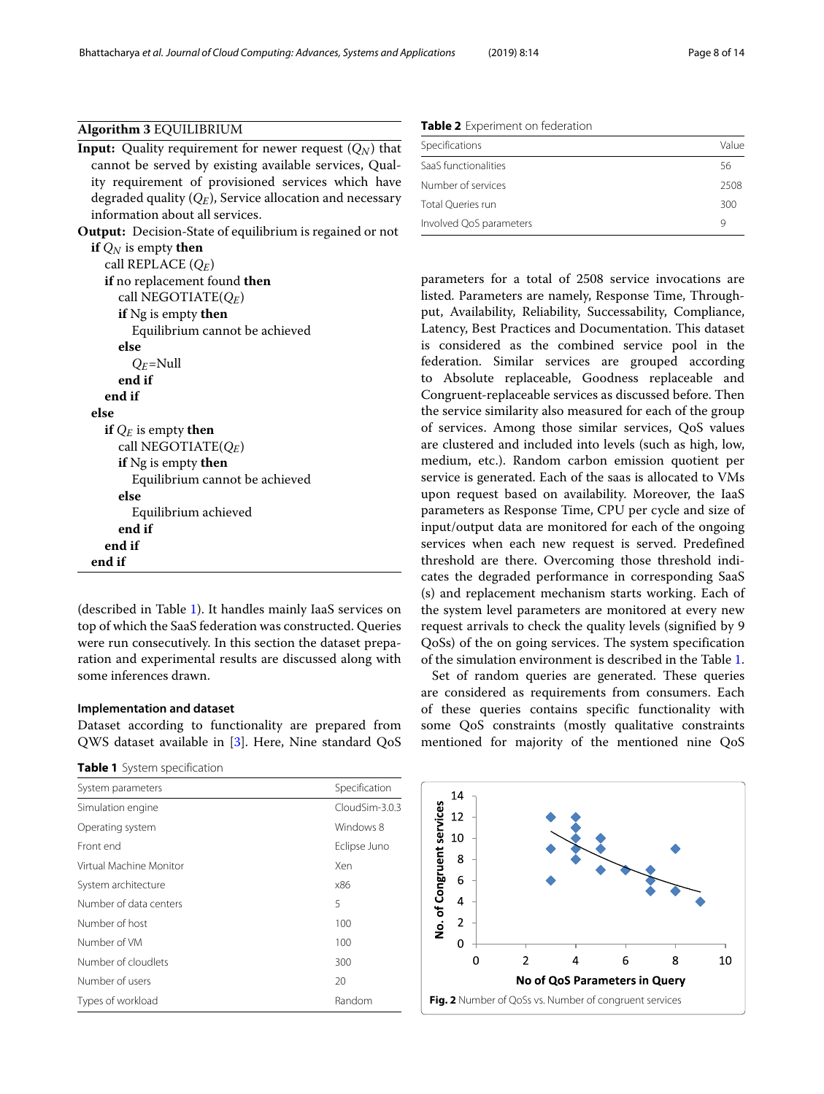### **Algorithm 3** EQUILIBRIUM

**Input:** Quality requirement for newer request  $(Q_N)$  that cannot be served by existing available services, Quality requirement of provisioned services which have degraded quality  $(Q_E)$ , Service allocation and necessary information about all services. **Output:** Decision-State of equilibrium is regained or not

| <b>if</b> $Q_N$ is empty <b>then</b>       |
|--------------------------------------------|
| call REPLACE $(Q_E)$                       |
| <b>if</b> no replacement found <b>then</b> |
| call NEGOTIATE( $Q_F$ )                    |
| <b>if</b> Ng is empty <b>then</b>          |
| Equilibrium cannot be achieved             |
| else                                       |
| $O_F =$ Null                               |
| end if                                     |
| end if                                     |
| else                                       |
| <b>if</b> $Q_F$ is empty <b>then</b>       |
| call NEGOTIATE( $Q_F$ )                    |
| <b>if</b> Ng is empty <b>then</b>          |
| Equilibrium cannot be achieved             |
| else                                       |
| Equilibrium achieved                       |
| end if                                     |
| end if                                     |
| end if                                     |

(described in Table [1\)](#page-7-0). It handles mainly IaaS services on top of which the SaaS federation was constructed. Queries were run consecutively. In this section the dataset preparation and experimental results are discussed along with some inferences drawn.

### **Implementation and dataset**

Dataset according to functionality are prepared from QWS dataset available in [\[3\]](#page-12-5). Here, Nine standard QoS

<span id="page-7-0"></span>**Table 1** System specification

| System parameters       | Specification    |
|-------------------------|------------------|
| Simulation engine       | $CloudSim-3.0.3$ |
| Operating system        | Windows 8        |
| Front end               | Eclipse Juno     |
| Virtual Machine Monitor | Xen              |
| System architecture     | x86              |
| Number of data centers  | 5                |
| Number of host          | 100              |
| Number of VM            | 100              |
| Number of cloudlets     | 300              |
| Number of users         | 20               |
| Types of workload       | Random           |

<span id="page-7-1"></span>**Table 2** Experiment on federation

| Specifications          | Value |
|-------------------------|-------|
| SaaS functionalities    | 56    |
| Number of services      | 2508  |
| Total Queries run       | 300   |
| Involved QoS parameters | Q     |
|                         |       |

parameters for a total of 2508 service invocations are listed. Parameters are namely, Response Time, Throughput, Availability, Reliability, Successability, Compliance, Latency, Best Practices and Documentation. This dataset is considered as the combined service pool in the federation. Similar services are grouped according to Absolute replaceable, Goodness replaceable and Congruent-replaceable services as discussed before. Then the service similarity also measured for each of the group of services. Among those similar services, QoS values are clustered and included into levels (such as high, low, medium, etc.). Random carbon emission quotient per service is generated. Each of the saas is allocated to VMs upon request based on availability. Moreover, the IaaS parameters as Response Time, CPU per cycle and size of input/output data are monitored for each of the ongoing services when each new request is served. Predefined threshold are there. Overcoming those threshold indicates the degraded performance in corresponding SaaS (s) and replacement mechanism starts working. Each of the system level parameters are monitored at every new request arrivals to check the quality levels (signified by 9 QoSs) of the on going services. The system specification of the simulation environment is described in the Table [1.](#page-7-0)

Set of random queries are generated. These queries are considered as requirements from consumers. Each of these queries contains specific functionality with some QoS constraints (mostly qualitative constraints mentioned for majority of the mentioned nine QoS

<span id="page-7-2"></span>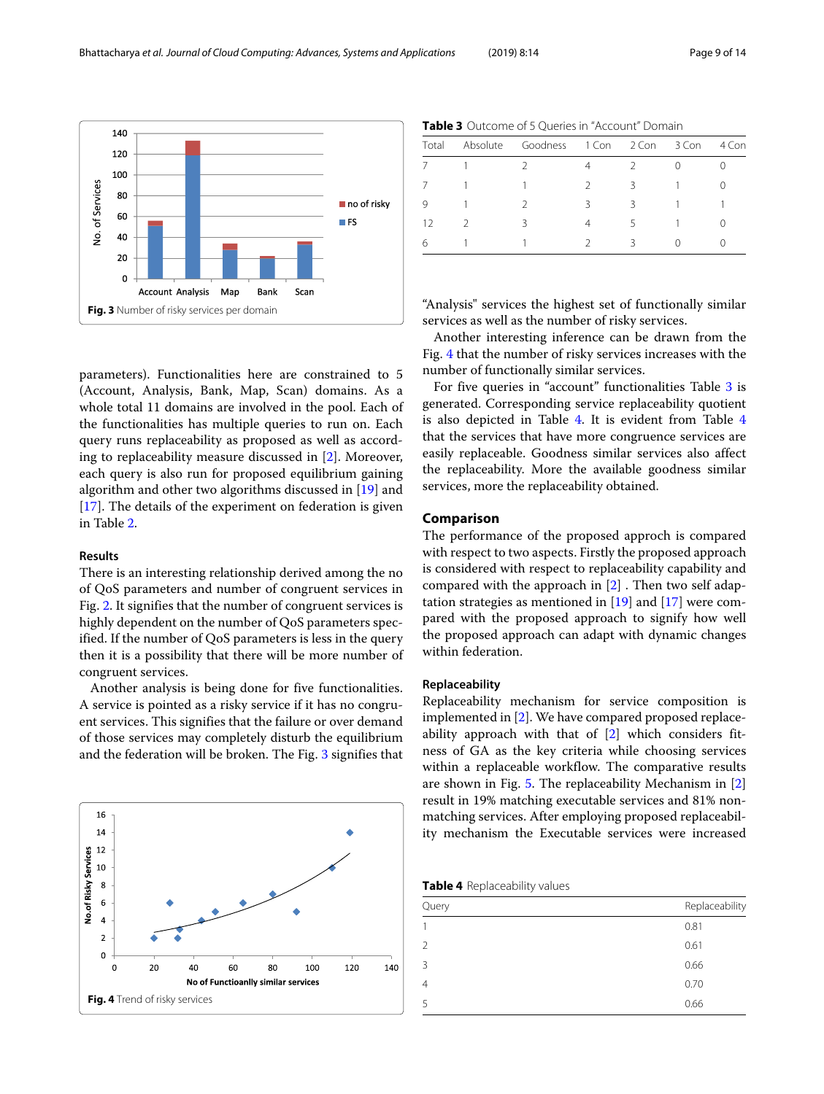<span id="page-8-0"></span>parameters). Functionalities here are constrained to 5 (Account, Analysis, Bank, Map, Scan) domains. As a whole total 11 domains are involved in the pool. Each of the functionalities has multiple queries to run on. Each query runs replaceability as proposed as well as according to replaceability measure discussed in [\[2\]](#page-12-0). Moreover, each query is also run for proposed equilibrium gaining algorithm and other two algorithms discussed in [\[19\]](#page-13-15) and [\[17\]](#page-13-16). The details of the experiment on federation is given in Table [2.](#page-7-1)

### **Results**

No.of Risky Services

 $\sqrt{6}$  $\overline{a}$  $\overline{2}$  $\Omega$  $\Omega$ 

<span id="page-8-1"></span>**Fig. 4** Trend of risky services

20

 $40$ 

There is an interesting relationship derived among the no of QoS parameters and number of congruent services in Fig. [2.](#page-7-2) It signifies that the number of congruent services is highly dependent on the number of QoS parameters specified. If the number of QoS parameters is less in the query then it is a possibility that there will be more number of congruent services.

Another analysis is being done for five functionalities. A service is pointed as a risky service if it has no congruent services. This signifies that the failure or over demand of those services may completely disturb the equilibrium and the federation will be broken. The Fig. [3](#page-8-0) signifies that

## 16 14  $12$ 10 ε

80

60 No of Functioanlly similar services

100

120

 $140$ 

<span id="page-8-2"></span>**Table 3** Outcome of 5 Queries in "Account" Domain

| Total | Absolute Goodness 1 Con 2 Con 3 Con |   |                          | $4$ Con |
|-------|-------------------------------------|---|--------------------------|---------|
|       |                                     |   |                          |         |
|       |                                     |   | ર                        |         |
|       |                                     | R | २                        |         |
| 12    |                                     |   | $\overline{\phantom{a}}$ |         |
| h     |                                     |   |                          |         |

"Analysis" services the highest set of functionally similar services as well as the number of risky services.

Another interesting inference can be drawn from the Fig. [4](#page-8-1) that the number of risky services increases with the number of functionally similar services.

For five queries in "account" functionalities Table [3](#page-8-2) is generated. Corresponding service replaceability quotient is also depicted in Table [4.](#page-8-3) It is evident from Table [4](#page-8-3) that the services that have more congruence services are easily replaceable. Goodness similar services also affect the replaceability. More the available goodness similar services, more the replaceability obtained.

### **Comparison**

The performance of the proposed approch is compared with respect to two aspects. Firstly the proposed approach is considered with respect to replaceability capability and compared with the approach in  $[2]$ . Then two self adaptation strategies as mentioned in [\[19\]](#page-13-15) and [\[17\]](#page-13-16) were compared with the proposed approach to signify how well the proposed approach can adapt with dynamic changes within federation.

### **Replaceability**

Replaceability mechanism for service composition is implemented in [\[2\]](#page-12-0). We have compared proposed replaceability approach with that of [\[2\]](#page-12-0) which considers fitness of GA as the key criteria while choosing services within a replaceable workflow. The comparative results are shown in Fig. [5.](#page-9-1) The replaceability Mechanism in [\[2\]](#page-12-0) result in 19% matching executable services and 81% nonmatching services. After employing proposed replaceability mechanism the Executable services were increased

<span id="page-8-3"></span>

|  | Table 4 Replaceability values |  |  |
|--|-------------------------------|--|--|
|--|-------------------------------|--|--|

| Query | Replaceability |
|-------|----------------|
|       | 0.81           |
| 2     | 0.61           |
| 3     | 0.66           |
| 4     | 0.70           |
| 5     | 0.66           |
|       |                |

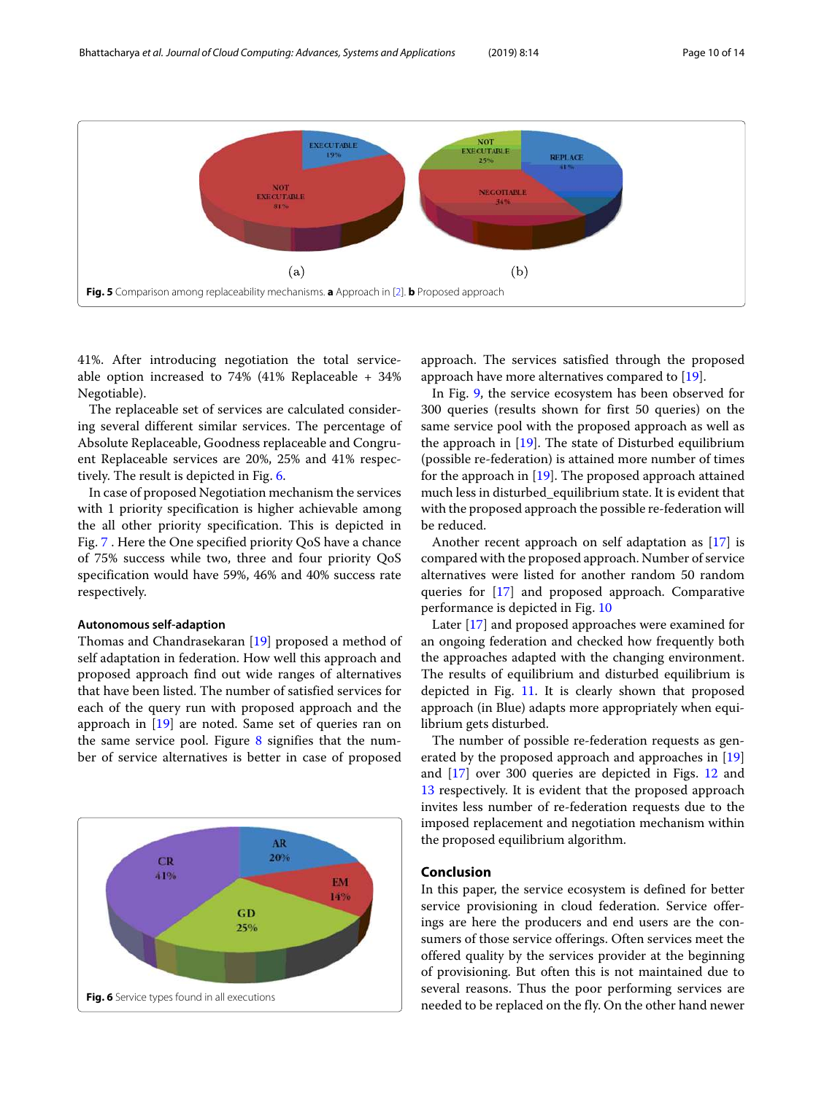

<span id="page-9-1"></span>41%. After introducing negotiation the total serviceable option increased to 74% (41% Replaceable + 34% Negotiable).

The replaceable set of services are calculated considering several different similar services. The percentage of Absolute Replaceable, Goodness replaceable and Congruent Replaceable services are 20%, 25% and 41% respectively. The result is depicted in Fig. [6.](#page-9-2)

In case of proposed Negotiation mechanism the services with 1 priority specification is higher achievable among the all other priority specification. This is depicted in Fig. [7](#page-10-0) . Here the One specified priority QoS have a chance of 75% success while two, three and four priority QoS specification would have 59%, 46% and 40% success rate respectively.

### **Autonomous self-adaption**

Thomas and Chandrasekaran [\[19\]](#page-13-15) proposed a method of self adaptation in federation. How well this approach and proposed approach find out wide ranges of alternatives that have been listed. The number of satisfied services for each of the query run with proposed approach and the approach in [\[19\]](#page-13-15) are noted. Same set of queries ran on the same service pool. Figure  $8$  signifies that the number of service alternatives is better in case of proposed

<span id="page-9-2"></span>

approach. The services satisfied through the proposed approach have more alternatives compared to [\[19\]](#page-13-15).

In Fig. [9,](#page-10-2) the service ecosystem has been observed for 300 queries (results shown for first 50 queries) on the same service pool with the proposed approach as well as the approach in [\[19\]](#page-13-15). The state of Disturbed equilibrium (possible re-federation) is attained more number of times for the approach in [\[19\]](#page-13-15). The proposed approach attained much less in disturbed equilibrium state. It is evident that with the proposed approach the possible re-federation will be reduced.

Another recent approach on self adaptation as [\[17\]](#page-13-16) is compared with the proposed approach. Number of service alternatives were listed for another random 50 random queries for [\[17\]](#page-13-16) and proposed approach. Comparative performance is depicted in Fig. [10](#page-11-0)

Later [\[17\]](#page-13-16) and proposed approaches were examined for an ongoing federation and checked how frequently both the approaches adapted with the changing environment. The results of equilibrium and disturbed equilibrium is depicted in Fig. [11.](#page-11-1) It is clearly shown that proposed approach (in Blue) adapts more appropriately when equilibrium gets disturbed.

The number of possible re-federation requests as generated by the proposed approach and approaches in [\[19\]](#page-13-15) and [\[17\]](#page-13-16) over 300 queries are depicted in Figs. [12](#page-11-2) and [13](#page-12-6) respectively. It is evident that the proposed approach invites less number of re-federation requests due to the imposed replacement and negotiation mechanism within the proposed equilibrium algorithm.

### <span id="page-9-0"></span>**Conclusion**

In this paper, the service ecosystem is defined for better service provisioning in cloud federation. Service offerings are here the producers and end users are the consumers of those service offerings. Often services meet the offered quality by the services provider at the beginning of provisioning. But often this is not maintained due to several reasons. Thus the poor performing services are needed to be replaced on the fly. On the other hand newer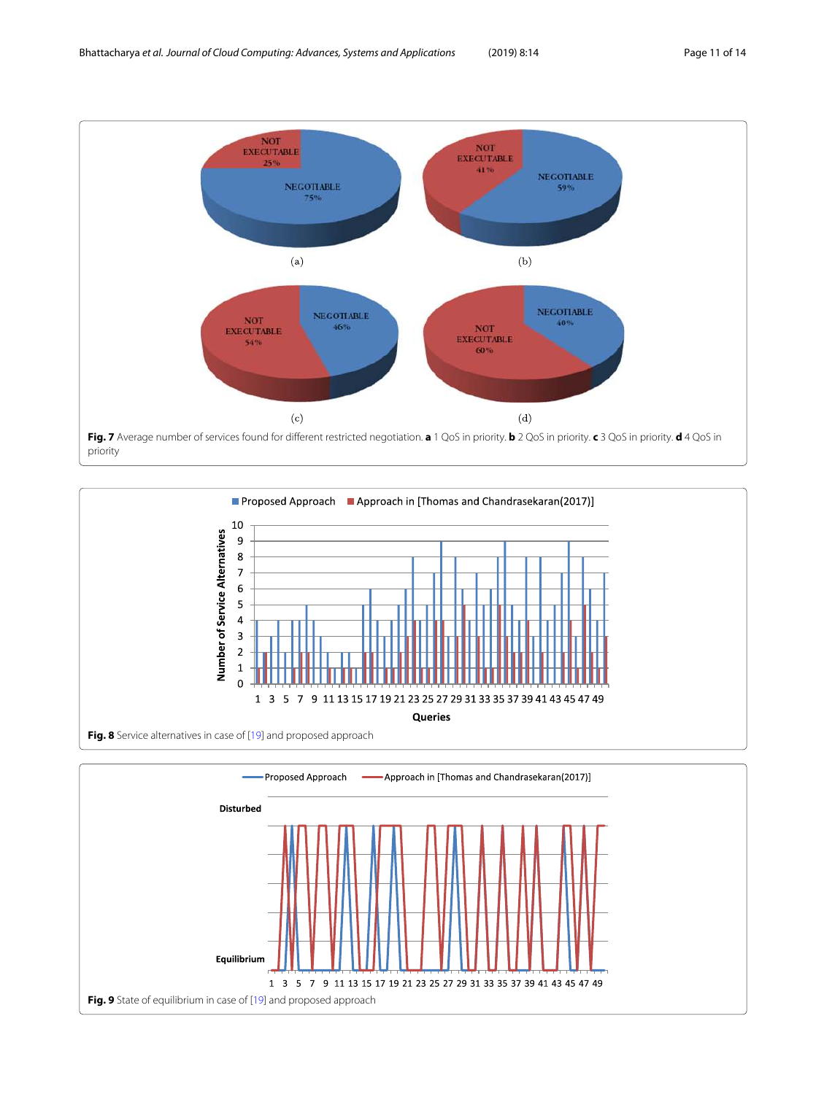

<span id="page-10-0"></span>

<span id="page-10-2"></span><span id="page-10-1"></span>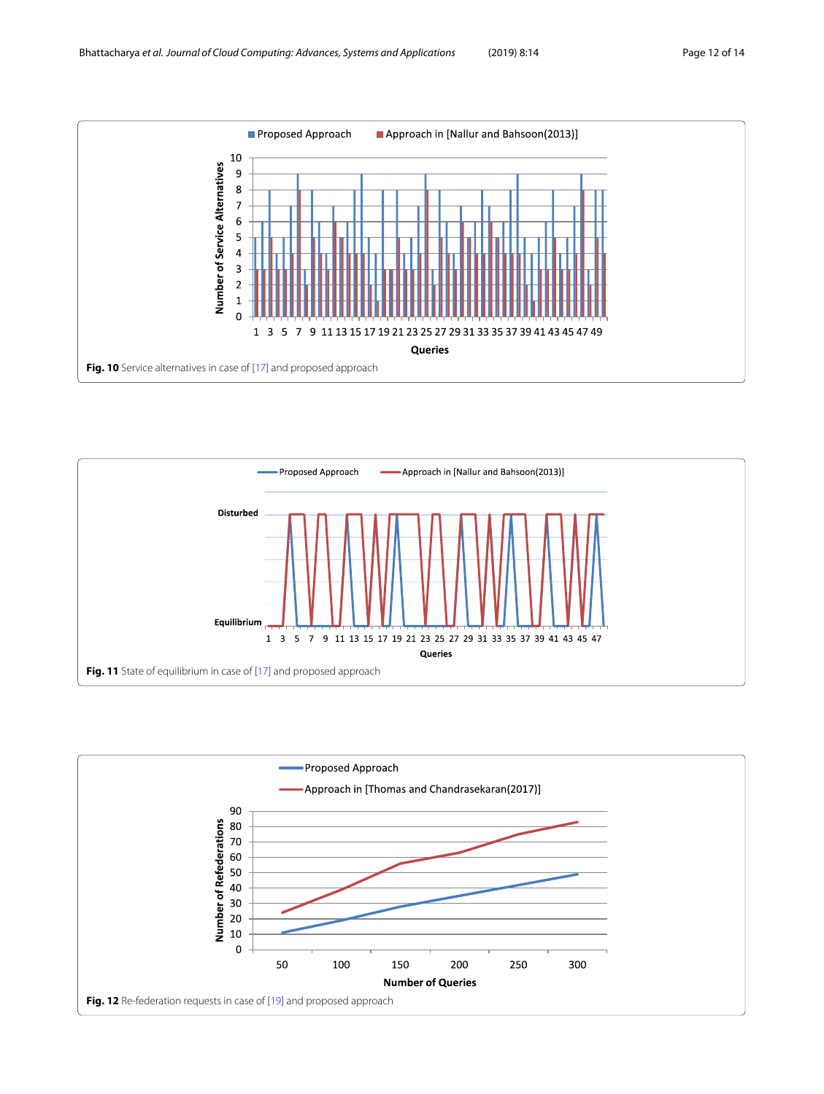

<span id="page-11-0"></span>

<span id="page-11-2"></span><span id="page-11-1"></span>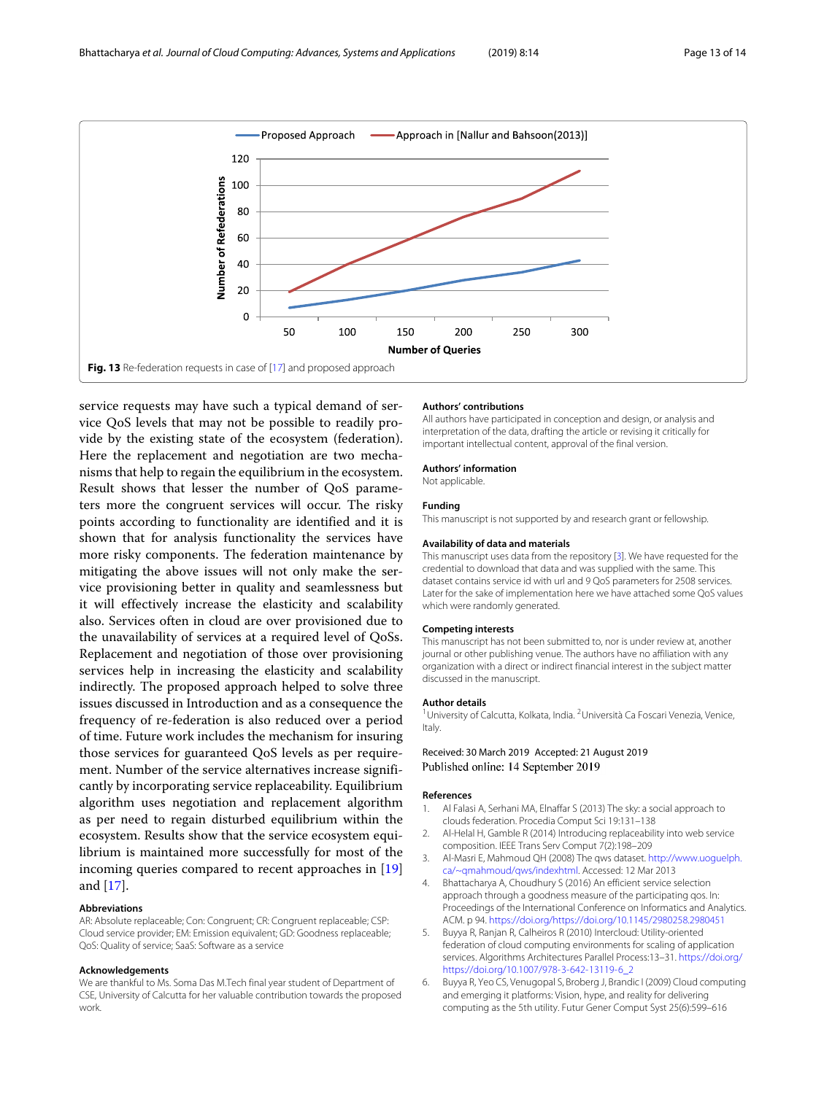

<span id="page-12-6"></span>service requests may have such a typical demand of service QoS levels that may not be possible to readily provide by the existing state of the ecosystem (federation). Here the replacement and negotiation are two mechanisms that help to regain the equilibrium in the ecosystem. Result shows that lesser the number of QoS parameters more the congruent services will occur. The risky points according to functionality are identified and it is shown that for analysis functionality the services have more risky components. The federation maintenance by mitigating the above issues will not only make the service provisioning better in quality and seamlessness but it will effectively increase the elasticity and scalability also. Services often in cloud are over provisioned due to the unavailability of services at a required level of QoSs. Replacement and negotiation of those over provisioning services help in increasing the elasticity and scalability indirectly. The proposed approach helped to solve three issues discussed in Introduction and as a consequence the frequency of re-federation is also reduced over a period of time. Future work includes the mechanism for insuring those services for guaranteed QoS levels as per requirement. Number of the service alternatives increase significantly by incorporating service replaceability. Equilibrium algorithm uses negotiation and replacement algorithm as per need to regain disturbed equilibrium within the ecosystem. Results show that the service ecosystem equilibrium is maintained more successfully for most of the incoming queries compared to recent approaches in [\[19\]](#page-13-15) and [\[17\]](#page-13-16).

### **Abbreviations**

AR: Absolute replaceable; Con: Congruent; CR: Congruent replaceable; CSP: Cloud service provider; EM: Emission equivalent; GD: Goodness replaceable; QoS: Quality of service; SaaS: Software as a service

### **Acknowledgements**

We are thankful to Ms. Soma Das M.Tech final year student of Department of CSE, University of Calcutta for her valuable contribution towards the proposed work.

### **Authors' contributions**

All authors have participated in conception and design, or analysis and interpretation of the data, drafting the article or revising it critically for important intellectual content, approval of the final version.

### **Authors' information**

Not applicable.

### **Funding**

This manuscript is not supported by and research grant or fellowship.

### **Availability of data and materials**

This manuscript uses data from the repository [\[3\]](#page-12-5). We have requested for the credential to download that data and was supplied with the same. This dataset contains service id with url and 9 QoS parameters for 2508 services. Later for the sake of implementation here we have attached some QoS values which were randomly generated.

#### **Competing interests**

This manuscript has not been submitted to, nor is under review at, another journal or other publishing venue. The authors have no affiliation with any organization with a direct or indirect financial interest in the subject matter discussed in the manuscript.

### **Author details**

<sup>1</sup> University of Calcutta, Kolkata, India. <sup>2</sup> Università Ca Foscari Venezia, Venice, Italy.

### Received: 30 March 2019 Accepted: 21 August 2019 Published online: 14 September 2019

### **References**

- <span id="page-12-1"></span>Al Falasi A, Serhani MA, Elnaffar S (2013) The sky: a social approach to clouds federation. Procedia Comput Sci 19:131–138
- <span id="page-12-0"></span>2. Al-Helal H, Gamble R (2014) Introducing replaceability into web service composition. IEEE Trans Serv Comput 7(2):198–209
- <span id="page-12-5"></span>3. Al-Masri E, Mahmoud QH (2008) The qws dataset. [http://www.uoguelph.](http://www.uoguelph.ca/~qmahmoud/qws/index html) [ca/~qmahmoud/qws/indexhtml.](http://www.uoguelph.ca/~qmahmoud/qws/index html) Accessed: 12 Mar 2013
- <span id="page-12-4"></span>4. Bhattacharya A, Choudhury S (2016) An efficient service selection approach through a goodness measure of the participating qos. In: Proceedings of the International Conference on Informatics and Analytics. ACM. p 94. <https://doi.org/https://doi.org/10.1145/2980258.2980451>
- <span id="page-12-3"></span>5. Buyya R, Ranjan R, Calheiros R (2010) Intercloud: Utility-oriented federation of cloud computing environments for scaling of application services. Algorithms Architectures Parallel Process:13–31. [https://doi.org/](https://doi.org/https://doi.org/10.1007/978-3-642-13119-6_2) [https://doi.org/10.1007/978-3-642-13119-6\\_2](https://doi.org/https://doi.org/10.1007/978-3-642-13119-6_2)
- <span id="page-12-2"></span>6. Buyya R, Yeo CS, Venugopal S, Broberg J, Brandic I (2009) Cloud computing and emerging it platforms: Vision, hype, and reality for delivering computing as the 5th utility. Futur Gener Comput Syst 25(6):599–616